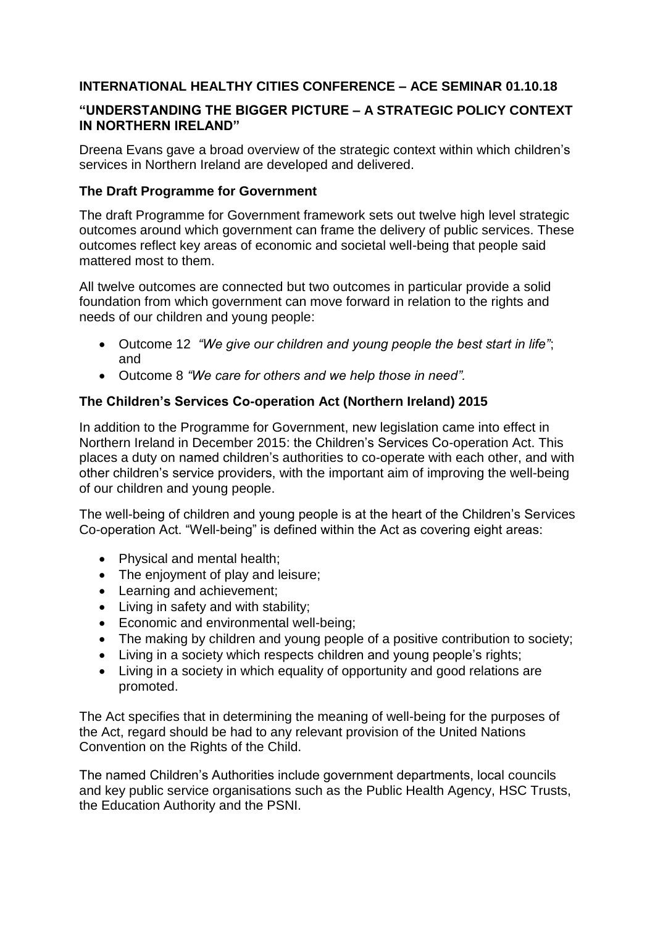# **INTERNATIONAL HEALTHY CITIES CONFERENCE – ACE SEMINAR 01.10.18**

## **"UNDERSTANDING THE BIGGER PICTURE – A STRATEGIC POLICY CONTEXT IN NORTHERN IRELAND"**

Dreena Evans gave a broad overview of the strategic context within which children's services in Northern Ireland are developed and delivered.

## **The Draft Programme for Government**

The draft Programme for Government framework sets out twelve high level strategic outcomes around which government can frame the delivery of public services. These outcomes reflect key areas of economic and societal well-being that people said mattered most to them.

All twelve outcomes are connected but two outcomes in particular provide a solid foundation from which government can move forward in relation to the rights and needs of our children and young people:

- Outcome 12 *"We give our children and young people the best start in life"*; and
- Outcome 8 *"We care for others and we help those in need".*

# **The Children's Services Co-operation Act (Northern Ireland) 2015**

In addition to the Programme for Government, new legislation came into effect in Northern Ireland in December 2015: the Children's Services Co-operation Act. This places a duty on named children's authorities to co-operate with each other, and with other children's service providers, with the important aim of improving the well-being of our children and young people.

The well-being of children and young people is at the heart of the Children's Services Co-operation Act. "Well-being" is defined within the Act as covering eight areas:

- Physical and mental health;
- The enjoyment of play and leisure:
- Learning and achievement;
- Living in safety and with stability:
- Economic and environmental well-being;
- The making by children and young people of a positive contribution to society;
- Living in a society which respects children and young people's rights;
- Living in a society in which equality of opportunity and good relations are promoted.

The Act specifies that in determining the meaning of well-being for the purposes of the Act, regard should be had to any relevant provision of the United Nations Convention on the Rights of the Child.

The named Children's Authorities include government departments, local councils and key public service organisations such as the Public Health Agency, HSC Trusts, the Education Authority and the PSNI.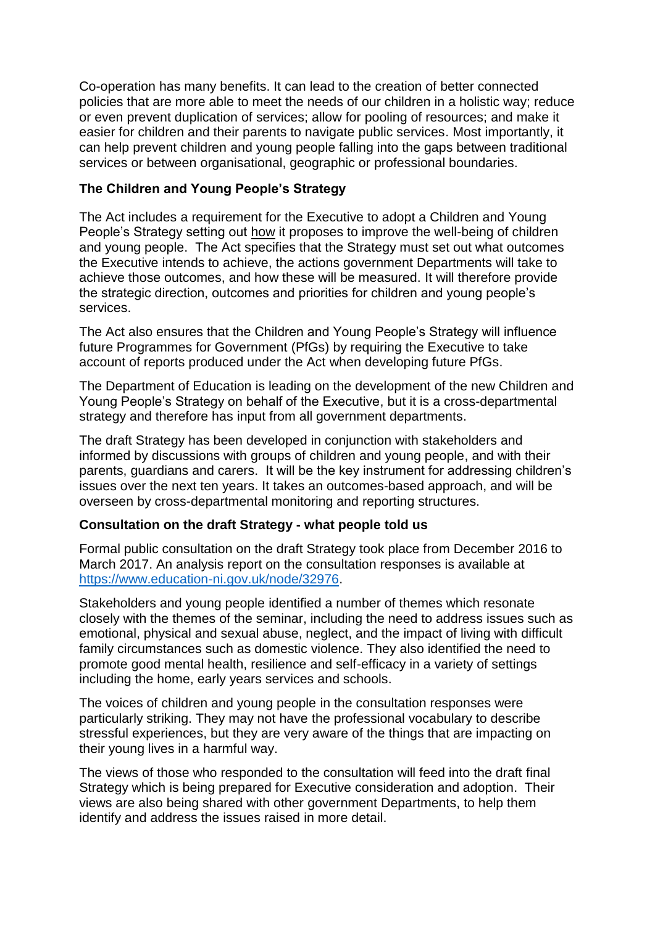Co-operation has many benefits. It can lead to the creation of better connected policies that are more able to meet the needs of our children in a holistic way; reduce or even prevent duplication of services; allow for pooling of resources; and make it easier for children and their parents to navigate public services. Most importantly, it can help prevent children and young people falling into the gaps between traditional services or between organisational, geographic or professional boundaries.

## **The Children and Young People's Strategy**

The Act includes a requirement for the Executive to adopt a Children and Young People's Strategy setting out how it proposes to improve the well-being of children and young people. The Act specifies that the Strategy must set out what outcomes the Executive intends to achieve, the actions government Departments will take to achieve those outcomes, and how these will be measured. It will therefore provide the strategic direction, outcomes and priorities for children and young people's services.

The Act also ensures that the Children and Young People's Strategy will influence future Programmes for Government (PfGs) by requiring the Executive to take account of reports produced under the Act when developing future PfGs.

The Department of Education is leading on the development of the new Children and Young People's Strategy on behalf of the Executive, but it is a cross-departmental strategy and therefore has input from all government departments.

The draft Strategy has been developed in conjunction with stakeholders and informed by discussions with groups of children and young people, and with their parents, guardians and carers. It will be the key instrument for addressing children's issues over the next ten years. It takes an outcomes-based approach, and will be overseen by cross-departmental monitoring and reporting structures.

#### **Consultation on the draft Strategy - what people told us**

Formal public consultation on the draft Strategy took place from December 2016 to March 2017. An analysis report on the consultation responses is available at [https://www.education-ni.gov.uk/node/32976.](https://www.education-ni.gov.uk/node/32976)

Stakeholders and young people identified a number of themes which resonate closely with the themes of the seminar, including the need to address issues such as emotional, physical and sexual abuse, neglect, and the impact of living with difficult family circumstances such as domestic violence. They also identified the need to promote good mental health, resilience and self-efficacy in a variety of settings including the home, early years services and schools.

The voices of children and young people in the consultation responses were particularly striking. They may not have the professional vocabulary to describe stressful experiences, but they are very aware of the things that are impacting on their young lives in a harmful way.

The views of those who responded to the consultation will feed into the draft final Strategy which is being prepared for Executive consideration and adoption. Their views are also being shared with other government Departments, to help them identify and address the issues raised in more detail.